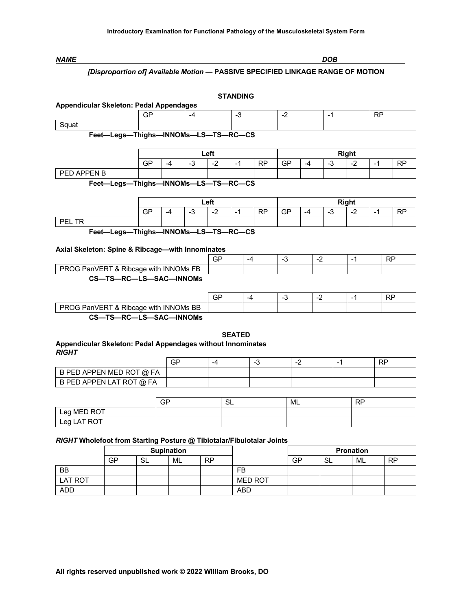# *NAME DOB [Disproportion of] Available Motion —* **PASSIVE SPECIFIED LINKAGE RANGE OF MOTION STANDING Appendicular Skeleton: Pedal Appendages** GP | -4 | -3 | -2 | -1 | RP Squat **Feet—Legs—Thighs—INNOMs—LS—TS—RC—CS Feet—Legs—Thighs—INNOMs—LS—TS—RC—CS Feet—Legs—Thighs—INNOMs—LS—TS—RC—CS Axial Skeleton: Spine & Ribcage—with Innominates** GP |-4 |-3 |-2 |-1 |RP PROG PanVERT & Ribcage with INNOMs FB **CS—TS—RC—LS—SAC—INNOMs** GP |-4 |-3 |-2 |-1 |RP PROG PanVERT & Ribcage with INNOMs BB **CS—TS—RC—LS—SAC—INNOMs SEATED Appendicular Skeleton: Pedal Appendages without Innominates** *RIGHT* Left **Right Right** GP | -4 | -3 | -2 | -1 | RP | GP | -4 | -3 | -2 | -1 | RP PED APPEN B Left **Right Right** GP | -4 | -3 | -2 | -1 | RP | GP | -4 | -3 | -2 | -1 | RP PEL TR

|                          | GF | -4 | ۰. | <b>RP</b> |
|--------------------------|----|----|----|-----------|
| B PED APPEN MED ROT @ FA |    |    |    |           |
| B PED APPEN LAT ROT @ FA |    |    |    |           |

|             | GP | ິ<br>∟ت | ML | <b>RP</b> |
|-------------|----|---------|----|-----------|
| Leg MED ROT |    |         |    |           |
| Leg LAT ROT |    |         |    |           |

#### *RIGHT* **Wholefoot from Starting Posture @ Tibiotalar/Fibulotalar Joints**

|            | <b>Supination</b> |     |    |           |                |           |     | <b>Pronation</b> |           |
|------------|-------------------|-----|----|-----------|----------------|-----------|-----|------------------|-----------|
|            | GP                | -SL | ML | <b>RP</b> |                | <b>GP</b> | -SL | ML               | <b>RP</b> |
| <b>BB</b>  |                   |     |    |           | <b>FB</b>      |           |     |                  |           |
| LAT ROT    |                   |     |    |           | <b>MED ROT</b> |           |     |                  |           |
| <b>ADD</b> |                   |     |    |           | <b>ABD</b>     |           |     |                  |           |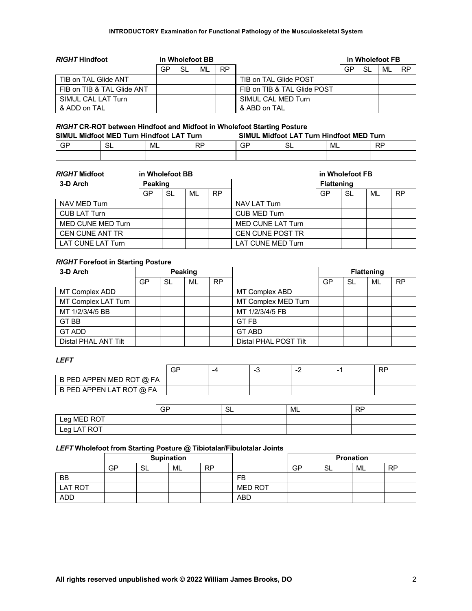| <b>RIGHT Hindfoot</b>      |    |    | in Wholefoot BB |           |                             |    |           | in Wholefoot FB |           |
|----------------------------|----|----|-----------------|-----------|-----------------------------|----|-----------|-----------------|-----------|
|                            | GP | SL | ML              | <b>RP</b> |                             | GP | <b>SL</b> | ML              | <b>RP</b> |
| TIB on TAL Glide ANT       |    |    |                 |           | TIB on TAL Glide POST       |    |           |                 |           |
| FIB on TIB & TAL Glide ANT |    |    |                 |           | FIB on TIB & TAL Glide POST |    |           |                 |           |
| SIMUL CAL LAT Turn         |    |    |                 |           | SIMUL CAL MED Turn          |    |           |                 |           |
| & ADD on TAL               |    |    |                 |           | & ABD on TAL                |    |           |                 |           |

## *RIGHT* **CR-ROT between Hindfoot and Midfoot in Wholefoot Starting Posture**

## **SIMUL Midfoot MED Turn Hindfoot LAT Turn SIMUL Midfoot LAT Turn Hindfoot MED Turn**

| ات<br>$ -$ | ML | חס<br>`` | ___ | ◡ | ML |  |
|------------|----|----------|-----|---|----|--|
|            |    |          |     |   |    |  |

| <b>RIGHT Midfoot</b><br>in Wholefoot BB |    |         |    |    |                          |                   | in Wholefoot FB |    |           |
|-----------------------------------------|----|---------|----|----|--------------------------|-------------------|-----------------|----|-----------|
| 3-D Arch                                |    | Peaking |    |    |                          | <b>Flattening</b> |                 |    |           |
|                                         | GP | SL      | ML | RP |                          | GP                | SL              | ML | <b>RP</b> |
| NAV MED Turn                            |    |         |    |    | NAV LAT Turn             |                   |                 |    |           |
| <b>CUB LAT Turn</b>                     |    |         |    |    | <b>CUB MED Turn</b>      |                   |                 |    |           |
| MED CUNE MED Turn                       |    |         |    |    | <b>MED CUNE LAT Turn</b> |                   |                 |    |           |
| <b>CEN CUNE ANT TR</b>                  |    |         |    |    | <b>CEN CUNE POST TR</b>  |                   |                 |    |           |
| LAT CUNE LAT Turn                       |    |         |    |    | LAT CUNE MED Turn        |                   |                 |    |           |

## *RIGHT* **Forefoot in Starting Posture**

| 3-D Arch             | Peaking |    |    |           |                       |    | <b>Flattening</b> |    |           |
|----------------------|---------|----|----|-----------|-----------------------|----|-------------------|----|-----------|
|                      | GP      | SL | ML | <b>RP</b> |                       | GP | SL                | ML | <b>RP</b> |
| MT Complex ADD       |         |    |    |           | MT Complex ABD        |    |                   |    |           |
| MT Complex LAT Turn  |         |    |    |           | MT Complex MED Turn   |    |                   |    |           |
| MT 1/2/3/4/5 BB      |         |    |    |           | MT 1/2/3/4/5 FB       |    |                   |    |           |
| GT BB                |         |    |    |           | <b>GT FB</b>          |    |                   |    |           |
| <b>GT ADD</b>        |         |    |    |           | <b>GT ABD</b>         |    |                   |    |           |
| Distal PHAL ANT Tilt |         |    |    |           | Distal PHAL POST Tilt |    |                   |    |           |

## *LEFT*

|                          | GP | -4 | ÷4 | <b>RP</b> |
|--------------------------|----|----|----|-----------|
| B PED APPEN MED ROT @ FA |    |    |    |           |
| B PED APPEN LAT ROT @ FA |    |    |    |           |

|             | GP | $\sim$<br>ഄഄ | ML | <b>RP</b> |
|-------------|----|--------------|----|-----------|
| Leg MED ROT |    |              |    |           |
| Leg LAT ROT |    |              |    |           |

## *LEFT* **Wholefoot from Starting Posture @ Tibiotalar/Fibulotalar Joints**

|                | <b>Supination</b> |     |    |           |                |    |      | <b>Pronation</b> |           |
|----------------|-------------------|-----|----|-----------|----------------|----|------|------------------|-----------|
|                | GP                | -SL | ML | <b>RP</b> |                | GP | - SL | ML               | <b>RP</b> |
| <b>BB</b>      |                   |     |    |           | <b>FB</b>      |    |      |                  |           |
| <b>LAT ROT</b> |                   |     |    |           | <b>MED ROT</b> |    |      |                  |           |
| <b>ADD</b>     |                   |     |    |           | <b>ABD</b>     |    |      |                  |           |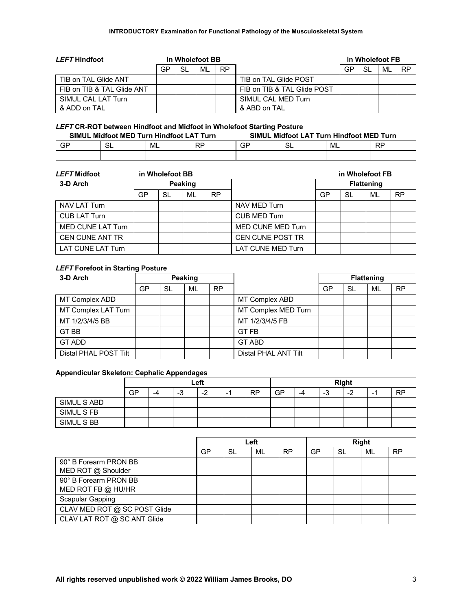| LEFT Hindfoot              | in Wholefoot BB |    |    |     |                             |    |    | in Wholefoot FB |           |
|----------------------------|-----------------|----|----|-----|-----------------------------|----|----|-----------------|-----------|
|                            | GP              | SL | ML | RP. |                             | GP | SL | ML              | <b>RP</b> |
| TIB on TAL Glide ANT       |                 |    |    |     | TIB on TAL Glide POST       |    |    |                 |           |
| FIB on TIB & TAL Glide ANT |                 |    |    |     | FIB on TIB & TAL Glide POST |    |    |                 |           |
| SIMUL CAL LAT Turn         |                 |    |    |     | SIMUL CAL MED Turn          |    |    |                 |           |
| & ADD on TAL               |                 |    |    |     | & ABD on TAL                |    |    |                 |           |

## *LEFT* **CR-ROT between Hindfoot and Midfoot in Wholefoot Starting Posture**

|    | <b>SIMUL Midfoot MED Turn Hindfoot LAT Turn</b> |    |           |    | <b>SIMUL Midfoot LAT Turn Hindfoot MED Turn</b> |    |           |
|----|-------------------------------------------------|----|-----------|----|-------------------------------------------------|----|-----------|
| GP | C1<br>ື                                         | ML | <b>RP</b> | GP | ഄഺ                                              | ML | <b>RP</b> |
|    |                                                 |    |           |    |                                                 |    |           |

| <b>LEFT Midfoot</b>    |    | in Wholefoot BB |                |           |                          |    | in Wholefoot FB   |    |           |
|------------------------|----|-----------------|----------------|-----------|--------------------------|----|-------------------|----|-----------|
| 3-D Arch               |    |                 | <b>Peaking</b> |           |                          |    | <b>Flattening</b> |    |           |
|                        | GP | SL              | ML             | <b>RP</b> |                          | GP | SL                | ML | <b>RP</b> |
| NAV LAT Turn           |    |                 |                |           | NAV MED Turn             |    |                   |    |           |
| <b>CUB LAT Turn</b>    |    |                 |                |           | <b>CUB MED Turn</b>      |    |                   |    |           |
| MED CUNE LAT Turn      |    |                 |                |           | MED CUNE MED Turn        |    |                   |    |           |
| <b>CEN CUNE ANT TR</b> |    |                 |                |           | <b>CEN CUNE POST TR</b>  |    |                   |    |           |
| LAT CUNE LAT Turn      |    |                 |                |           | <b>LAT CUNE MED Turn</b> |    |                   |    |           |

## *LEFT* **Forefoot in Starting Posture**

| 3-D Arch              |    |           | Peaking |           |                      | <b>Flattening</b> |    |    |           |
|-----------------------|----|-----------|---------|-----------|----------------------|-------------------|----|----|-----------|
|                       | GP | <b>SL</b> | ML      | <b>RP</b> |                      | GP                | SL | ML | <b>RP</b> |
| MT Complex ADD        |    |           |         |           | MT Complex ABD       |                   |    |    |           |
| MT Complex LAT Turn   |    |           |         |           | MT Complex MED Turn  |                   |    |    |           |
| MT 1/2/3/4/5 BB       |    |           |         |           | MT 1/2/3/4/5 FB      |                   |    |    |           |
| GT BB                 |    |           |         |           | <b>GT FB</b>         |                   |    |    |           |
| <b>GT ADD</b>         |    |           |         |           | <b>GT ABD</b>        |                   |    |    |           |
| Distal PHAL POST Tilt |    |           |         |           | Distal PHAL ANT Tilt |                   |    |    |           |

## **Appendicular Skeleton: Cephalic Appendages**

| --          |    |    | -- |         |                          |           |    |    |    |                  |   |           |
|-------------|----|----|----|---------|--------------------------|-----------|----|----|----|------------------|---|-----------|
|             |    |    |    | Left    |                          |           |    |    |    | <b>Right</b>     |   |           |
|             | GP | -4 | -3 | ີ<br>-4 | $\overline{\phantom{0}}$ | <b>RP</b> | GP | -4 | -3 | $\sim$ $\lambda$ | - | <b>RP</b> |
| SIMUL S ABD |    |    |    |         |                          |           |    |    |    |                  |   |           |
| SIMUL S FB  |    |    |    |         |                          |           |    |    |    |                  |   |           |
| SIMUL S BB  |    |    |    |         |                          |           |    |    |    |                  |   |           |

|                              | Left |    |    |           |    |    | <b>Right</b> |           |
|------------------------------|------|----|----|-----------|----|----|--------------|-----------|
|                              | GP   | SL | ML | <b>RP</b> | GP | SL | ML           | <b>RP</b> |
| 90° B Forearm PRON BB        |      |    |    |           |    |    |              |           |
| MED ROT @ Shoulder           |      |    |    |           |    |    |              |           |
| 90° B Forearm PRON BB        |      |    |    |           |    |    |              |           |
| MED ROT FB @ HU/HR           |      |    |    |           |    |    |              |           |
| Scapular Gapping             |      |    |    |           |    |    |              |           |
| CLAV MED ROT @ SC POST Glide |      |    |    |           |    |    |              |           |
| CLAV LAT ROT @ SC ANT Glide  |      |    |    |           |    |    |              |           |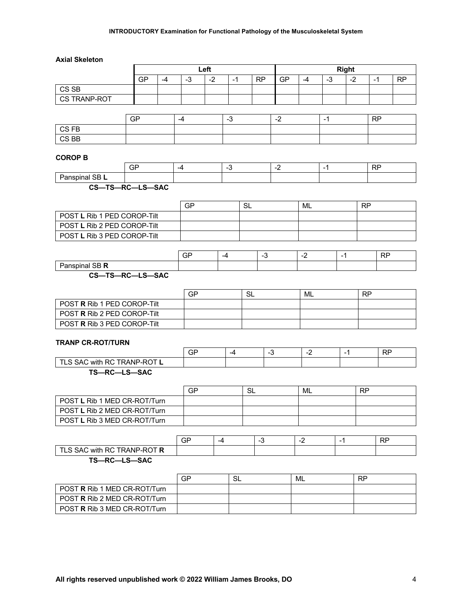| <b>Axial Skeleton</b>        |           |      |           |      |      |           |           |           |           |      |              |           |           |           |
|------------------------------|-----------|------|-----------|------|------|-----------|-----------|-----------|-----------|------|--------------|-----------|-----------|-----------|
|                              |           |      |           | Left |      |           |           |           |           |      | <b>Right</b> |           |           |           |
|                              | <b>GP</b> | $-4$ | $-3$      | $-2$ | $-1$ |           | <b>RP</b> | <b>GP</b> | $-4$      | $-3$ | $-2$         |           | $-1$      | <b>RP</b> |
| CS SB                        |           |      |           |      |      |           |           |           |           |      |              |           |           |           |
| <b>CS TRANP-ROT</b>          |           |      |           |      |      |           |           |           |           |      |              |           |           |           |
|                              |           |      |           |      |      |           |           |           |           |      |              |           |           |           |
|                              | GP        |      | -4        |      | $-3$ |           |           | $-2$      |           | $-1$ |              |           | <b>RP</b> |           |
| CS <sub>FB</sub>             |           |      |           |      |      |           |           |           |           |      |              |           |           |           |
| CS BB                        |           |      |           |      |      |           |           |           |           |      |              |           |           |           |
| <b>COROP B</b>               |           |      |           |      |      |           |           |           |           |      |              |           |           |           |
|                              | <b>GP</b> |      | $-4$      |      | $-3$ |           |           | $-2$      |           | $-1$ |              |           | <b>RP</b> |           |
| Panspinal SB L               |           |      |           |      |      |           |           |           |           |      |              |           |           |           |
| CS-TS-RC-LS-SAC              |           |      |           |      |      |           |           |           |           |      |              |           |           |           |
|                              |           |      | <b>GP</b> |      |      | <b>SL</b> |           |           | <b>ML</b> |      |              | <b>RP</b> |           |           |
| POST L Rib 1 PED COROP-Tilt  |           |      |           |      |      |           |           |           |           |      |              |           |           |           |
| POST L Rib 2 PED COROP-Tilt  |           |      |           |      |      |           |           |           |           |      |              |           |           |           |
| POST L Rib 3 PED COROP-Tilt  |           |      |           |      |      |           |           |           |           |      |              |           |           |           |
|                              |           |      |           |      |      |           |           |           |           |      |              |           |           |           |
|                              |           |      | <b>GP</b> |      | $-4$ |           | $-3$      |           | $-2$      |      | $-1$         |           | <b>RP</b> |           |
| Panspinal SB R               |           |      |           |      |      |           |           |           |           |      |              |           |           |           |
| CS-TS-RC-LS-SAC              |           |      |           |      |      |           |           |           |           |      |              |           |           |           |
|                              |           |      | GP        |      |      | <b>SL</b> |           |           | ML        |      |              | <b>RP</b> |           |           |
| POST R Rib 1 PED COROP-Tilt  |           |      |           |      |      |           |           |           |           |      |              |           |           |           |
| POST R Rib 2 PED COROP-Tilt  |           |      |           |      |      |           |           |           |           |      |              |           |           |           |
| POST R Rib 3 PED COROP-Tilt  |           |      |           |      |      |           |           |           |           |      |              |           |           |           |
|                              |           |      |           |      |      |           |           |           |           |      |              |           |           |           |
| <b>TRANP CR-ROT/TURN</b>     |           |      |           |      |      |           |           |           |           |      |              |           |           |           |
|                              |           |      | <b>GP</b> |      | $-4$ |           |           | $-3$      | $-2$      |      | $-1$         |           | <b>RP</b> |           |
| TLS SAC with RC TRANP-ROT L  |           |      |           |      |      |           |           |           |           |      |              |           |           |           |
| TS-RC-LS-SAC                 |           |      |           |      |      |           |           |           |           |      |              |           |           |           |
|                              |           |      | <b>GP</b> |      |      | <b>SL</b> |           |           | ML        |      |              | <b>RP</b> |           |           |
| POST L Rib 1 MED CR-ROT/Turn |           |      |           |      |      |           |           |           |           |      |              |           |           |           |
| POST L Rib 2 MED CR-ROT/Turn |           |      |           |      |      |           |           |           |           |      |              |           |           |           |

| POST L Rib 3 MED CR-ROT/Turn       |    |    |     |                |           |
|------------------------------------|----|----|-----|----------------|-----------|
|                                    |    |    |     |                |           |
|                                    | GP | -4 | ÷., | $\blacksquare$ | <b>RP</b> |
| TLS SAC with RC TRANP-ROT <b>R</b> |    |    |     |                |           |

## **TS—RC—LS—SAC**

|                                     | GP | -SL | ML | <b>RP</b> |
|-------------------------------------|----|-----|----|-----------|
| POST <b>R</b> Rib 1 MED CR-ROT/Turn |    |     |    |           |
| POST <b>R</b> Rib 2 MED CR-ROT/Turn |    |     |    |           |
| POST <b>R</b> Rib 3 MED CR-ROT/Turn |    |     |    |           |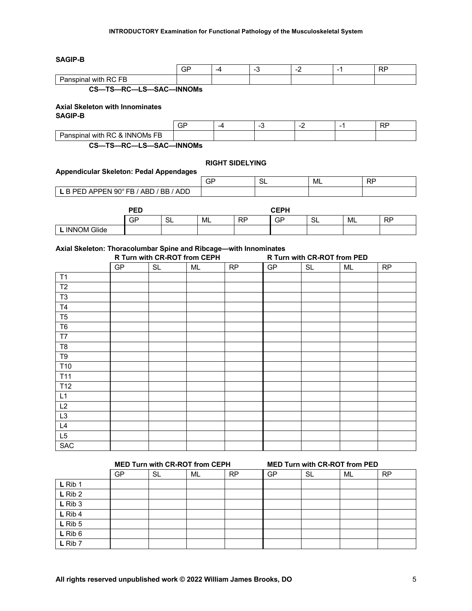## **SAGIP-B**

|                                                                                                                                      | ◡<br>__ | -- |  | - | $\overline{\phantom{a}}$<br>N. |
|--------------------------------------------------------------------------------------------------------------------------------------|---------|----|--|---|--------------------------------|
| -<br>--<br>w<br>−<br>the contract of the contract of the contract of the contract of the contract of the contract of the contract of |         |    |  |   |                                |

## **CS—TS—RC—LS—SAC—INNOMs**

## **Axial Skeleton with Innominates SAGIP-B**

|                                                     | ~-<br>יש | -4 | $\overline{\phantom{a}}$ |  | <b>DD</b><br>ÐГ |
|-----------------------------------------------------|----------|----|--------------------------|--|-----------------|
| <b>FB</b><br>D0<br>INNO<br>)Ms<br>۸/Iti<br>^.<br>ïН |          |    |                          |  |                 |

**CS—TS—RC—LS—SAC—INNOMs**

## **RIGHT SIDELYING**

| Appendicular Skeleton: Pedal Appendages |    |      |    |           |  |  |  |  |  |  |
|-----------------------------------------|----|------|----|-----------|--|--|--|--|--|--|
|                                         | GP | ื้อ∟ | ML | <b>RP</b> |  |  |  |  |  |  |
| L B PED APPEN 90° FB / ABD / BB / ADD   |    |      |    |           |  |  |  |  |  |  |

|                    | <b>DEP</b><br>ΈU |              |    |                | ссон |    |    |         |
|--------------------|------------------|--------------|----|----------------|------|----|----|---------|
|                    | GP               | $\sim$<br>◡∟ | ML | nг<br>$\cdots$ | GP   | ◡∟ | ML | םם<br>- |
| <b>INNOM Glide</b> |                  |              |    |                |      |    |    |         |

## **Axial Skeleton: Thoracolumbar Spine and Ribcage—with Innominates**

|                |    |           | R Turn with CR-ROT from CEPH |           | R Turn with CR-ROT from PED<br><b>GP</b><br><b>SL</b><br>ML |  |  |           |
|----------------|----|-----------|------------------------------|-----------|-------------------------------------------------------------|--|--|-----------|
|                | GP | <b>SL</b> | ML                           | <b>RP</b> |                                                             |  |  | <b>RP</b> |
| T1             |    |           |                              |           |                                                             |  |  |           |
| T <sub>2</sub> |    |           |                              |           |                                                             |  |  |           |
| T <sub>3</sub> |    |           |                              |           |                                                             |  |  |           |
| T <sub>4</sub> |    |           |                              |           |                                                             |  |  |           |
| T <sub>5</sub> |    |           |                              |           |                                                             |  |  |           |
| T <sub>6</sub> |    |           |                              |           |                                                             |  |  |           |
| T7             |    |           |                              |           |                                                             |  |  |           |
| T <sub>8</sub> |    |           |                              |           |                                                             |  |  |           |
| T <sub>9</sub> |    |           |                              |           |                                                             |  |  |           |
| T10            |    |           |                              |           |                                                             |  |  |           |
| T11            |    |           |                              |           |                                                             |  |  |           |
| T12            |    |           |                              |           |                                                             |  |  |           |
| L1             |    |           |                              |           |                                                             |  |  |           |
| L2             |    |           |                              |           |                                                             |  |  |           |
| L <sub>3</sub> |    |           |                              |           |                                                             |  |  |           |
| L4             |    |           |                              |           |                                                             |  |  |           |
| L <sub>5</sub> |    |           |                              |           |                                                             |  |  |           |
| SAC            |    |           |                              |           |                                                             |  |  |           |

|           |    | <b>MED Turn with CR-ROT from CEPH</b> |    |           |    |    | <b>MED Turn with CR-ROT from PED</b> |           |
|-----------|----|---------------------------------------|----|-----------|----|----|--------------------------------------|-----------|
|           | GP | SL                                    | ML | <b>RP</b> | GP | SL | ML                                   | <b>RP</b> |
| $L$ Rib 1 |    |                                       |    |           |    |    |                                      |           |
| $L$ Rib 2 |    |                                       |    |           |    |    |                                      |           |
| $L$ Rib 3 |    |                                       |    |           |    |    |                                      |           |
| $L$ Rib 4 |    |                                       |    |           |    |    |                                      |           |
| $L$ Rib 5 |    |                                       |    |           |    |    |                                      |           |
| $L$ Rib 6 |    |                                       |    |           |    |    |                                      |           |
| $L$ Rib 7 |    |                                       |    |           |    |    |                                      |           |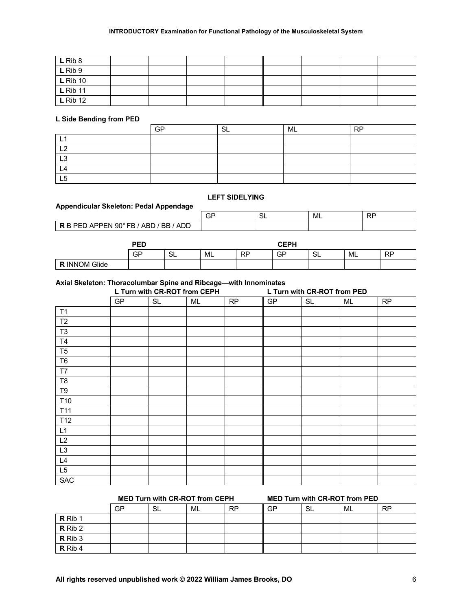| $L$ Rib 8  |  |  |  |  |
|------------|--|--|--|--|
| $L$ Rib 9  |  |  |  |  |
| $L$ Rib 10 |  |  |  |  |
| $L$ Rib 11 |  |  |  |  |
| $L$ Rib 12 |  |  |  |  |

## **L Side Bending from PED**

|                | GP | ົ | ML | <b>DD</b> |
|----------------|----|---|----|-----------|
|                |    |   |    |           |
| ာ              |    |   |    |           |
| L <sub>3</sub> |    |   |    |           |
| $\Delta$       |    |   |    |           |
| L <sub>5</sub> |    |   |    |           |

## **LEFT SIDELYING**

| Appendicular Skeleton: Pedal Appendage            |    |    |    |           |
|---------------------------------------------------|----|----|----|-----------|
|                                                   | GP | ◡∟ | ML | <b>RP</b> |
| $\mathsf I$ R B PED APPEN 90° FB / ABD / BB / ADD |    |    |    |           |

|                          | DEN<br>76 L |         |    |           | <b>CEPH</b> |         |    |         |
|--------------------------|-------------|---------|----|-----------|-------------|---------|----|---------|
|                          | GP          | ິ<br>◡∟ | ML | <b>RP</b> | GP          | ⌒<br>ᇰᆫ | ML | DD<br>M |
| <b>INNOM Glide</b><br>D. |             |         |    |           |             |         |    |         |

#### **Axial Skeleton: Thoracolumbar Spine and Ribcage—with Innominates L Turn with CR-ROT from CEPH L Turn with CR-ROT from PED**

|                 |    |           | L TUIT WILL UN KUT TOIL UCEN |           |    |           | L TUITI WILII UN-RUT IIUIII FED |           |
|-----------------|----|-----------|------------------------------|-----------|----|-----------|---------------------------------|-----------|
|                 | GP | <b>SL</b> | ML                           | <b>RP</b> | GP | <b>SL</b> | ML                              | <b>RP</b> |
| T1              |    |           |                              |           |    |           |                                 |           |
| T2              |    |           |                              |           |    |           |                                 |           |
| T <sub>3</sub>  |    |           |                              |           |    |           |                                 |           |
| T4              |    |           |                              |           |    |           |                                 |           |
| T <sub>5</sub>  |    |           |                              |           |    |           |                                 |           |
| T <sub>6</sub>  |    |           |                              |           |    |           |                                 |           |
| T7              |    |           |                              |           |    |           |                                 |           |
| T <sub>8</sub>  |    |           |                              |           |    |           |                                 |           |
| T <sub>9</sub>  |    |           |                              |           |    |           |                                 |           |
| T10             |    |           |                              |           |    |           |                                 |           |
| T11             |    |           |                              |           |    |           |                                 |           |
| T <sub>12</sub> |    |           |                              |           |    |           |                                 |           |
| L1              |    |           |                              |           |    |           |                                 |           |
| L2              |    |           |                              |           |    |           |                                 |           |
| L <sub>3</sub>  |    |           |                              |           |    |           |                                 |           |
| L4              |    |           |                              |           |    |           |                                 |           |
| L5              |    |           |                              |           |    |           |                                 |           |
| SAC             |    |           |                              |           |    |           |                                 |           |

**MED Turn with CR-ROT from CEPH MED Turn with CR-ROT from PED**

|           | GP | SL | ML | <b>RP</b> | GP | SL | ML | <b>RP</b> |
|-----------|----|----|----|-----------|----|----|----|-----------|
| R Rib 1   |    |    |    |           |    |    |    |           |
| R Rib 2   |    |    |    |           |    |    |    |           |
| R Rib 3   |    |    |    |           |    |    |    |           |
| $R$ Rib 4 |    |    |    |           |    |    |    |           |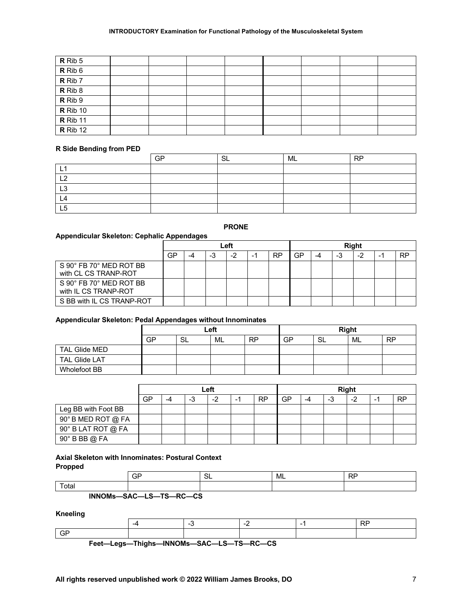| R Rib 5         |  |  |  |  |
|-----------------|--|--|--|--|
| $R$ Rib 6       |  |  |  |  |
| R Rib 7         |  |  |  |  |
| $R$ Rib $8$     |  |  |  |  |
| $R$ Rib 9       |  |  |  |  |
| R Rib 10        |  |  |  |  |
| R Rib 11        |  |  |  |  |
| <b>R</b> Rib 12 |  |  |  |  |

## **R Side Bending from PED**

|                | GP | $\sim$<br>◡∟ | ML | <b>RP</b> |
|----------------|----|--------------|----|-----------|
| L1             |    |              |    |           |
| $\overline{1}$ |    |              |    |           |
| L <sub>3</sub> |    |              |    |           |
| L4             |    |              |    |           |
| L <sub>5</sub> |    |              |    |           |

## **PRONE**

## **Appendicular Skeleton: Cephalic Appendages**

|                                                   | Left |    |    |         |  |           |    | <b>Right</b> |    |  |  |           |
|---------------------------------------------------|------|----|----|---------|--|-----------|----|--------------|----|--|--|-----------|
|                                                   | GP   | -4 | -3 | ົ<br>-1 |  | <b>RP</b> | GP | -4           | -3 |  |  | <b>RP</b> |
| $S$ 90° FB 70° MED ROT BB<br>with CL CS TRANP-ROT |      |    |    |         |  |           |    |              |    |  |  |           |
| S 90° FB 70° MED ROT BB<br>with IL CS TRANP-ROT   |      |    |    |         |  |           |    |              |    |  |  |           |
| S BB with IL CS TRANP-ROT                         |      |    |    |         |  |           |    |              |    |  |  |           |

## **Appendicular Skeleton: Pedal Appendages without Innominates**

|                      |    |     | Left |           | <b>Right</b> |                   |    |           |
|----------------------|----|-----|------|-----------|--------------|-------------------|----|-----------|
|                      | GP | -SL | ML   | <b>RP</b> | GP           | $\mathbf{C}$<br>◡ | ML | <b>RP</b> |
| TAL Glide MED        |    |     |      |           |              |                   |    |           |
| <b>TAL Glide LAT</b> |    |     |      |           |              |                   |    |           |
| Wholefoot BB         |    |     |      |           |              |                   |    |           |

|                        |    |    | Left |   |           | <b>Right</b> |    |     |    |                          |    |
|------------------------|----|----|------|---|-----------|--------------|----|-----|----|--------------------------|----|
|                        | GP | -3 |      | - | <b>RP</b> | GP           | -4 | - 3 | -2 | $\overline{\phantom{a}}$ | RP |
| Leg BB with Foot BB    |    |    |      |   |           |              |    |     |    |                          |    |
| 90° B MED ROT @ FA     |    |    |      |   |           |              |    |     |    |                          |    |
| 90° B LAT ROT @ FA     |    |    |      |   |           |              |    |     |    |                          |    |
| $90^\circ$ B BB $@$ FA |    |    |      |   |           |              |    |     |    |                          |    |

## **Axial Skeleton with Innominates: Postural Context**

**Propped**

|       | $\sqrt{2}$ | -<br>╌ | ML | n r<br>M |
|-------|------------|--------|----|----------|
| Total |            |        |    |          |

## **INNOMs—SAC—LS—TS—RC—CS**

## **Kneeling**

|  | -4 |                                                                                                                       |  | . |
|--|----|-----------------------------------------------------------------------------------------------------------------------|--|---|
|  |    |                                                                                                                       |  |   |
|  |    | $\mathbf{r}$ ( ) $\mathbf{r}$ ( ) in $\mathbf{r}$ and $\mathbf{r}$ and $\mathbf{r}$ and $\mathbf{r}$ and $\mathbf{r}$ |  |   |

**Feet—Legs—Thighs—INNOMs—SAC—LS—TS—RC—CS**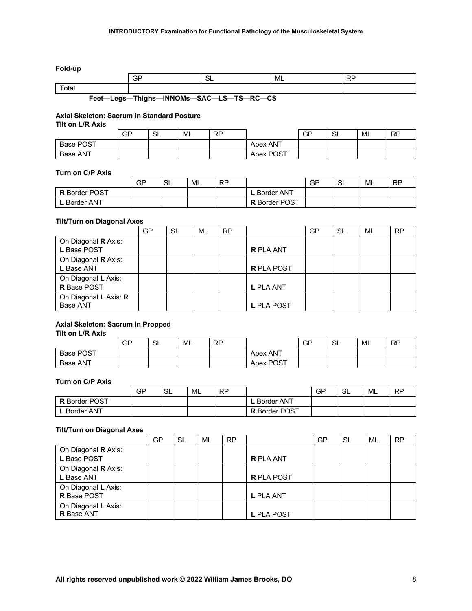**Fold-up**

|                          | GF        | ັ               | ML | $\sim$<br>- |
|--------------------------|-----------|-----------------|----|-------------|
| Total                    |           |                 |    |             |
| $\overline{\phantom{0}}$ | .<br>____ | --- -- -- -- -- |    |             |

# **Feet—Legs—Thighs—INNOMs—SAC—LS—TS—RC—CS**

## **Axial Skeleton: Sacrum in Standard Posture**

**Tilt on L/R Axis**

|                  | GP | SL | ML | <b>RP</b> |           | GP | SL | ML | <b>RP</b> |
|------------------|----|----|----|-----------|-----------|----|----|----|-----------|
| <b>Base POST</b> |    |    |    |           | Apex ANT  |    |    |    |           |
| Base ANT         |    |    |    |           | Apex POST |    |    |    |           |

## **Turn on C/P Axis**

|                      | GP | $\sim$<br>5L. | ML | <b>RP</b> |                      | GP | $\sim$<br>SL | ML | <b>RP</b> |
|----------------------|----|---------------|----|-----------|----------------------|----|--------------|----|-----------|
| <b>R</b> Border POST |    |               |    |           | . Border ANT         |    |              |    |           |
| . Border ANT         |    |               |    |           | <b>R</b> Border POST |    |              |    |           |

## **Tilt/Turn on Diagonal Axes**

|                       | GP | SL | ML | <b>RP</b> |                   | GP | <b>SL</b> | ML | <b>RP</b> |
|-----------------------|----|----|----|-----------|-------------------|----|-----------|----|-----------|
| On Diagonal R Axis:   |    |    |    |           |                   |    |           |    |           |
| L Base POST           |    |    |    |           | <b>R PLA ANT</b>  |    |           |    |           |
| On Diagonal R Axis:   |    |    |    |           |                   |    |           |    |           |
| L Base ANT            |    |    |    |           | <b>R PLA POST</b> |    |           |    |           |
| On Diagonal L Axis:   |    |    |    |           |                   |    |           |    |           |
| <b>R</b> Base POST    |    |    |    |           | L PLA ANT         |    |           |    |           |
| On Diagonal L Axis: R |    |    |    |           |                   |    |           |    |           |
| <b>Base ANT</b>       |    |    |    |           | <b>L PLA POST</b> |    |           |    |           |

## **Axial Skeleton: Sacrum in Propped**

**Tilt on L/R Axis**

|                  | GP | c.<br>◡ | ML | <b>RP</b> |           | GP | -SL | ML | <b>RP</b> |
|------------------|----|---------|----|-----------|-----------|----|-----|----|-----------|
| <b>Base POST</b> |    |         |    |           | Apex ANT  |    |     |    |           |
| Base ANT         |    |         |    |           | Apex POST |    |     |    |           |

## **Turn on C/P Axis**

|                      | GP | SL | ML | <b>RP</b> |                      | GP | $\sim$<br>-SL | ML | <b>RP</b> |
|----------------------|----|----|----|-----------|----------------------|----|---------------|----|-----------|
| <b>R</b> Border POST |    |    |    |           | Border ANT           |    |               |    |           |
| Border ANT           |    |    |    |           | <b>R</b> Border POST |    |               |    |           |

## **Tilt/Turn on Diagonal Axes**

|                                           | GP | SL | ML | <b>RP</b> |                   | GP | SL | ML | <b>RP</b> |
|-------------------------------------------|----|----|----|-----------|-------------------|----|----|----|-----------|
| On Diagonal <b>R</b> Axis:<br>L Base POST |    |    |    |           | <b>R PLA ANT</b>  |    |    |    |           |
| On Diagonal R Axis:<br>L Base ANT         |    |    |    |           | <b>R PLA POST</b> |    |    |    |           |
| On Diagonal L Axis:<br><b>R</b> Base POST |    |    |    |           | L PLA ANT         |    |    |    |           |
| On Diagonal L Axis:<br><b>R</b> Base ANT  |    |    |    |           | <b>L PLA POST</b> |    |    |    |           |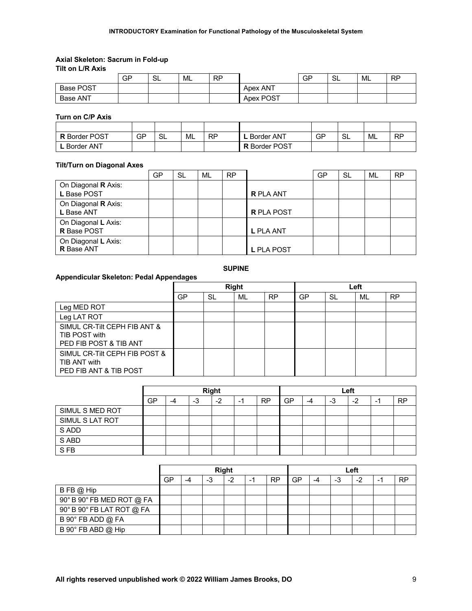## **Axial Skeleton: Sacrum in Fold-up Tilt on L/R Axis**

|           | GP | <b>QI</b><br>◡ | <b>ML</b> | <b>RP</b> |           | GP | -SL | ML | <b>RP</b> |
|-----------|----|----------------|-----------|-----------|-----------|----|-----|----|-----------|
| Base POST |    |                |           |           | Apex ANT  |    |     |    |           |
| Base ANT  |    |                |           |           | Apex POST |    |     |    |           |

## **Turn on C/P Axis**

| <b>R</b> Border POST | GP | SL | ML | <b>RP</b> | <b>Border ANT</b>    | GP | SL | ML | <b>RP</b> |
|----------------------|----|----|----|-----------|----------------------|----|----|----|-----------|
| . Border ANT         |    |    |    |           | <b>R</b> Border POST |    |    |    |           |

## **Tilt/Turn on Diagonal Axes**

|                                           | GP | SL | ML | <b>RP</b> |                   | GP | SL | ML | <b>RP</b> |
|-------------------------------------------|----|----|----|-----------|-------------------|----|----|----|-----------|
| On Diagonal R Axis:<br>L Base POST        |    |    |    |           | <b>R PLA ANT</b>  |    |    |    |           |
| On Diagonal R Axis:<br>L Base ANT         |    |    |    |           | <b>R PLA POST</b> |    |    |    |           |
| On Diagonal L Axis:<br><b>R</b> Base POST |    |    |    |           | L PLA ANT         |    |    |    |           |
| On Diagonal L Axis:<br><b>R</b> Base ANT  |    |    |    |           | <b>L PLA POST</b> |    |    |    |           |

## **SUPINE**

## **Appendicular Skeleton: Pedal Appendages**

|                                                                         |    |    | <b>Right</b> |           | Left |           |    |           |  |
|-------------------------------------------------------------------------|----|----|--------------|-----------|------|-----------|----|-----------|--|
|                                                                         | GP | SL | ML           | <b>RP</b> | GP   | <b>SL</b> | ML | <b>RP</b> |  |
| Leg MED ROT                                                             |    |    |              |           |      |           |    |           |  |
| Leg LAT ROT                                                             |    |    |              |           |      |           |    |           |  |
| SIMUL CR-Tilt CEPH FIB ANT &<br>TIB POST with<br>PED FIB POST & TIB ANT |    |    |              |           |      |           |    |           |  |
| SIMUL CR-Tilt CEPH FIB POST &<br>TIB ANT with<br>PED FIB ANT & TIB POST |    |    |              |           |      |           |    |           |  |

|                 |    | <b>Right</b> |         |      |   |           | Left |    |    |    |                          |           |
|-----------------|----|--------------|---------|------|---|-----------|------|----|----|----|--------------------------|-----------|
|                 | GP | -4           | n<br>-3 | $-2$ | ۰ | <b>RP</b> | GP   | -4 | -3 | -2 | $\overline{\phantom{0}}$ | <b>RP</b> |
| SIMUL S MED ROT |    |              |         |      |   |           |      |    |    |    |                          |           |
| SIMUL S LAT ROT |    |              |         |      |   |           |      |    |    |    |                          |           |
| S ADD           |    |              |         |      |   |           |      |    |    |    |                          |           |
| S ABD           |    |              |         |      |   |           |      |    |    |    |                          |           |
| S <sub>FB</sub> |    |              |         |      |   |           |      |    |    |    |                          |           |

|                           | <b>Right</b> |  |    |      |    | Left |    |    |    |      |                          |           |
|---------------------------|--------------|--|----|------|----|------|----|----|----|------|--------------------------|-----------|
|                           | GP           |  | -3 | $-2$ | ۰. | RP   | GP | -4 | -3 | $-2$ | $\overline{\phantom{a}}$ | <b>RP</b> |
| $BFB$ $@$ Hip             |              |  |    |      |    |      |    |    |    |      |                          |           |
| 90° B 90° FB MED ROT @ FA |              |  |    |      |    |      |    |    |    |      |                          |           |
| 90° B 90° FB LAT ROT @ FA |              |  |    |      |    |      |    |    |    |      |                          |           |
| B 90° FB ADD @ FA         |              |  |    |      |    |      |    |    |    |      |                          |           |
| B 90° FB ABD @ Hip        |              |  |    |      |    |      |    |    |    |      |                          |           |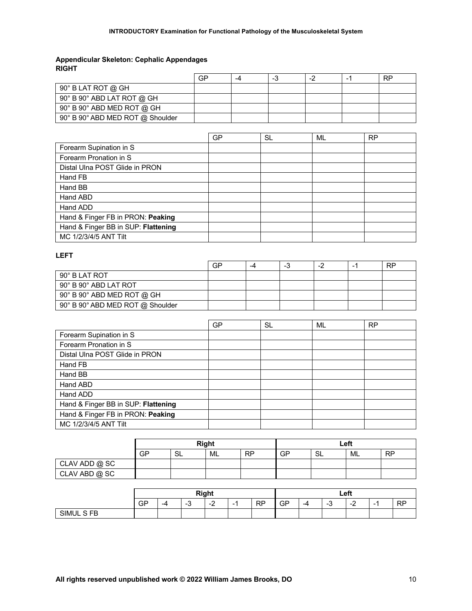## **Appendicular Skeleton: Cephalic Appendages RIGHT**

|                                          | GP | -4 | -0 | - | <b>RP</b> |
|------------------------------------------|----|----|----|---|-----------|
| $90^\circ$ B LAT ROT @ GH                |    |    |    |   |           |
| $90^\circ$ B $90^\circ$ ABD LAT ROT @ GH |    |    |    |   |           |
| $90^\circ$ B $90^\circ$ ABD MED ROT @ GH |    |    |    |   |           |
| 90° B 90° ABD MED ROT @ Shoulder         |    |    |    |   |           |

|                                     | GP | SL | ML | <b>RP</b> |
|-------------------------------------|----|----|----|-----------|
| Forearm Supination in S             |    |    |    |           |
| Forearm Pronation in S              |    |    |    |           |
| Distal Ulna POST Glide in PRON      |    |    |    |           |
| Hand FB                             |    |    |    |           |
| Hand BB                             |    |    |    |           |
| Hand ABD                            |    |    |    |           |
| Hand ADD                            |    |    |    |           |
| Hand & Finger FB in PRON: Peaking   |    |    |    |           |
| Hand & Finger BB in SUP: Flattening |    |    |    |           |
| MC 1/2/3/4/5 ANT Tilt               |    |    |    |           |

## **LEFT**

|                                          | GP | -4 | - 3 |  | RP |
|------------------------------------------|----|----|-----|--|----|
| $90^\circ$ B LAT ROT                     |    |    |     |  |    |
| $90^\circ$ B $90^\circ$ ABD LAT ROT      |    |    |     |  |    |
| $90^\circ$ B $90^\circ$ ABD MED ROT @ GH |    |    |     |  |    |
| 90° B 90° ABD MED ROT @ Shoulder         |    |    |     |  |    |

|                                     | GP | <b>SL</b> | <b>ML</b> | <b>RP</b> |
|-------------------------------------|----|-----------|-----------|-----------|
| Forearm Supination in S             |    |           |           |           |
| Forearm Pronation in S              |    |           |           |           |
| Distal Ulna POST Glide in PRON      |    |           |           |           |
| Hand FB                             |    |           |           |           |
| Hand BB                             |    |           |           |           |
| Hand ABD                            |    |           |           |           |
| Hand ADD                            |    |           |           |           |
| Hand & Finger BB in SUP: Flattening |    |           |           |           |
| Hand & Finger FB in PRON: Peaking   |    |           |           |           |
| MC 1/2/3/4/5 ANT Tilt               |    |           |           |           |

|               |    |                             | <b>Right</b> |           | Left |      |    |           |  |
|---------------|----|-----------------------------|--------------|-----------|------|------|----|-----------|--|
|               | GP | $\mathbf{C}^{\prime}$<br>ᇰᆫ | ML           | <b>RP</b> | GP   | - SL | ML | <b>RP</b> |  |
| CLAV ADD @ SC |    |                             |              |           |      |      |    |           |  |
| CLAV ABD @ SC |    |                             |              |           |      |      |    |           |  |

|                                     | <b>Right</b> |    |     |              |     | Left      |    |    |                  |                                    |                          |            |
|-------------------------------------|--------------|----|-----|--------------|-----|-----------|----|----|------------------|------------------------------------|--------------------------|------------|
|                                     | GP           | -4 | - 0 | $\sim$<br>-4 | $-$ | <b>RP</b> | GP | -4 | $\sqrt{2}$<br>п. | c<br>$\overline{\phantom{a}}$<br>- | $\overline{\phantom{a}}$ | חם<br>- 11 |
| <b>FB</b><br>$\sim$<br>SIML<br>JL S |              |    |     |              |     |           |    |    |                  |                                    |                          |            |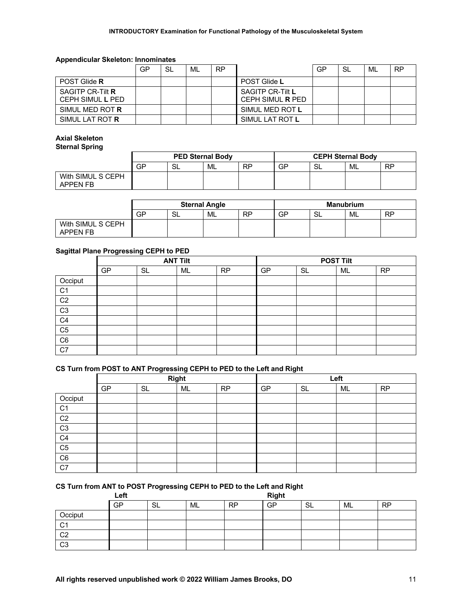## **Appendicular Skeleton: Innominates**

|                                      | GP | SL | ML | <b>RP</b> |                                                    | GP | SL | ML | <b>RP</b> |
|--------------------------------------|----|----|----|-----------|----------------------------------------------------|----|----|----|-----------|
| POST Glide <b>R</b>                  |    |    |    |           | POST Glide L                                       |    |    |    |           |
| SAGITP CR-Tilt R<br>CEPH SIMUL L PED |    |    |    |           | <b>SAGITP CR-Tilt L</b><br>CEPH SIMUL <b>R</b> PED |    |    |    |           |
| SIMUL MED ROT R                      |    |    |    |           | SIMUL MED ROT L                                    |    |    |    |           |
| SIMUL LAT ROT <b>R</b>               |    |    |    |           | SIMUL LAT ROT L                                    |    |    |    |           |

# **Axial Skeleton**

**Sternal Spring**

|                                      |    | <b>PED Sternal Body</b> |    |           | <b>CEPH Sternal Body</b> |    |    |           |
|--------------------------------------|----|-------------------------|----|-----------|--------------------------|----|----|-----------|
|                                      | GP | SL                      | ML | <b>RP</b> | GP                       | SL | ML | <b>RP</b> |
| With SIMUL S CEPH<br><b>APPEN FB</b> |    |                         |    |           |                          |    |    |           |

|                               |    |              | <b>Sternal Angle</b> |           | <b>Manubrium</b> |        |    |           |  |
|-------------------------------|----|--------------|----------------------|-----------|------------------|--------|----|-----------|--|
|                               | GP | $\sim$<br>∟ت | ML                   | <b>RP</b> | GP               | ົ<br>◡ | ML | <b>RP</b> |  |
| With SIMUL S CEPH<br>APPEN FB |    |              |                      |           |                  |        |    |           |  |

## **Sagittal Plane Progressing CEPH to PED**

|                | <b>ANT Tilt</b> |           |    |           | <b>POST Tilt</b> |           |    |           |  |
|----------------|-----------------|-----------|----|-----------|------------------|-----------|----|-----------|--|
|                | GP              | <b>SL</b> | ML | <b>RP</b> | GP               | <b>SL</b> | ML | <b>RP</b> |  |
| Occiput        |                 |           |    |           |                  |           |    |           |  |
| C <sub>1</sub> |                 |           |    |           |                  |           |    |           |  |
| C <sub>2</sub> |                 |           |    |           |                  |           |    |           |  |
| C <sub>3</sub> |                 |           |    |           |                  |           |    |           |  |
| C <sub>4</sub> |                 |           |    |           |                  |           |    |           |  |
| C <sub>5</sub> |                 |           |    |           |                  |           |    |           |  |
| C <sub>6</sub> |                 |           |    |           |                  |           |    |           |  |
| C7             |                 |           |    |           |                  |           |    |           |  |

## **CS Turn from POST to ANT Progressing CEPH to PED to the Left and Right**

|                | <b>Right</b> |           |     |           | Left |           |    |           |  |
|----------------|--------------|-----------|-----|-----------|------|-----------|----|-----------|--|
|                | GP           | <b>SL</b> | ML. | <b>RP</b> | GP   | <b>SL</b> | ML | <b>RP</b> |  |
| Occiput        |              |           |     |           |      |           |    |           |  |
| C <sub>1</sub> |              |           |     |           |      |           |    |           |  |
| C <sub>2</sub> |              |           |     |           |      |           |    |           |  |
| C <sub>3</sub> |              |           |     |           |      |           |    |           |  |
| C <sub>4</sub> |              |           |     |           |      |           |    |           |  |
| C <sub>5</sub> |              |           |     |           |      |           |    |           |  |
| C6             |              |           |     |           |      |           |    |           |  |
| C7             |              |           |     |           |      |           |    |           |  |

## **CS Turn from ANT to POST Progressing CEPH to PED to the Left and Right**

|                | Left |    |    |           | <b>Right</b> |           |    |           |  |  |
|----------------|------|----|----|-----------|--------------|-----------|----|-----------|--|--|
|                | GP   | SL | ML | <b>RP</b> | GP           | <b>SL</b> | ML | <b>RP</b> |  |  |
| Occiput        |      |    |    |           |              |           |    |           |  |  |
| $\sim$<br>◡    |      |    |    |           |              |           |    |           |  |  |
| C <sub>2</sub> |      |    |    |           |              |           |    |           |  |  |
| C <sub>3</sub> |      |    |    |           |              |           |    |           |  |  |